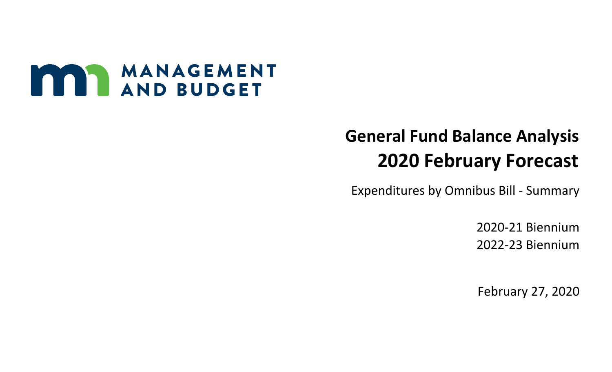

# **General Fund Balance Analysis 2020 February Forecast**

Expenditures by Omnibus Bill - Summary

2020-21 Biennium 2022-23 Biennium

February 27, 2020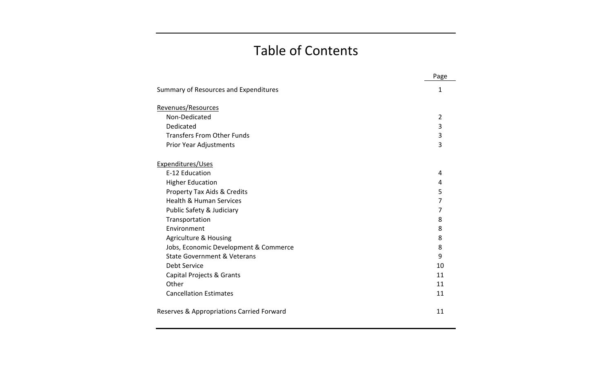## Table of Contents

|                                           | Page           |
|-------------------------------------------|----------------|
| Summary of Resources and Expenditures     | 1              |
| Revenues/Resources                        |                |
| Non-Dedicated                             | $\overline{2}$ |
| Dedicated                                 | 3              |
| <b>Transfers From Other Funds</b>         | 3              |
| Prior Year Adjustments                    | 3              |
| Expenditures/Uses                         |                |
| E-12 Education                            | 4              |
| <b>Higher Education</b>                   | 4              |
| Property Tax Aids & Credits               | 5              |
| <b>Health &amp; Human Services</b>        | 7              |
| Public Safety & Judiciary                 | 7              |
| Transportation                            | 8              |
| Environment                               | 8              |
| <b>Agriculture &amp; Housing</b>          | 8              |
| Jobs, Economic Development & Commerce     | 8              |
| <b>State Government &amp; Veterans</b>    | 9              |
| <b>Debt Service</b>                       | 10             |
| Capital Projects & Grants                 | 11             |
| Other                                     | 11             |
| <b>Cancellation Estimates</b>             | 11             |
| Reserves & Appropriations Carried Forward | 11             |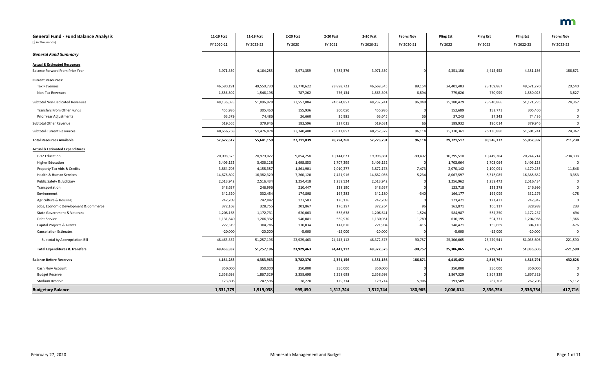| <b>General Fund - Fund Balance Analysis</b> | 11-19 Fcst | 11-19 Fcst | 2-20 Fcst  | 2-20 Fcst  | 2-20 Fcst  | Feb vs Nov | <b>Pling Est</b> | <b>Pling Est</b> | <b>Pling Est</b> | Feb vs Nov |
|---------------------------------------------|------------|------------|------------|------------|------------|------------|------------------|------------------|------------------|------------|
| (\$ in Thousands)                           | FY 2020-21 | FY 2022-23 | FY 2020    | FY 2021    | FY 2020-21 | FY 2020-21 | FY 2022          | FY 2023          | FY 2022-23       | FY 2022-23 |
| <b>General Fund Summary</b>                 |            |            |            |            |            |            |                  |                  |                  |            |
| <b>Actual &amp; Estimated Resources</b>     |            |            |            |            |            |            |                  |                  |                  |            |
| Balance Forward From Prior Year             | 3,971,359  | 4,164,285  | 3,971,359  | 3,782,376  | 3,971,359  |            | 4,351,156        | 4,415,452        | 4,351,156        | 186,871    |
| <b>Current Resources:</b>                   |            |            |            |            |            |            |                  |                  |                  |            |
| <b>Tax Revenues</b>                         | 46,580,191 | 49,550,730 | 22,770,622 | 23,898,723 | 46,669,345 | 89,154     | 24,401,403       | 25,169,867       | 49,571,270       | 20,540     |
| Non-Tax Revenues                            | 1,556,502  | 1,546,198  | 787,262    | 776,134    | 1,563,396  | 6,894      | 779,026          | 770,999          | 1,550,025        | 3,827      |
| Subtotal Non-Dedicated Revenues             | 48,136,693 | 51,096,928 | 23,557,884 | 24,674,857 | 48,232,741 | 96,048     | 25,180,429       | 25,940,866       | 51,121,295       | 24,367     |
| Transfers From Other Funds                  | 455,986    | 305,460    | 155,936    | 300,050    | 455,986    |            | 152,689          | 152,771          | 305,460          | $\Omega$   |
| Prior Year Adjustments                      | 63,579     | 74,486     | 26,660     | 36,985     | 63,645     | 61         | 37,243           | 37,243           | 74,486           | $\Omega$   |
| Subtotal Other Revenue                      | 519,565    | 379,946    | 182,596    | 337,035    | 519,631    | 66         | 189,932          | 190,014          | 379,946          | $\Omega$   |
| <b>Subtotal Current Resources</b>           | 48,656,258 | 51,476,874 | 23,740,480 | 25,011,892 | 48,752,372 | 96,114     | 25,370,361       | 26,130,880       | 51,501,241       | 24,367     |
| <b>Total Resources Available</b>            | 52,627,617 | 55,641,159 | 27,711,839 | 28,794,268 | 52,723,731 | 96,114     | 29,721,517       | 30,546,332       | 55,852,397       | 211,238    |
| <b>Actual &amp; Estimated Expenditures</b>  |            |            |            |            |            |            |                  |                  |                  |            |
| E-12 Education                              | 20,098,373 | 20,979,022 | 9,854,258  | 10,144,623 | 19,998,881 | $-99,492$  | 10,295,510       | 10,449,204       | 20,744,714       | $-234,308$ |
| <b>Higher Education</b>                     | 3,406,152  | 3,406,128  | 1,698,853  | 1,707,299  | 3,406,152  |            | 1,703,064        | 1,703,064        | 3,406,128        |            |
| Property Tax Aids & Credits                 | 3,864,705  | 4,158,387  | 1,861,901  | 2,010,277  | 3,872,178  | 7,473      | 2,070,142        | 2,100,091        | 4,170,233        | 11,846     |
| Health & Human Services                     | 14,676,802 | 16,382,329 | 7,260,120  | 7,421,916  | 14,682,036 | 5,234      | 8,067,597        | 8,318,085        | 16,385,682       | 3,353      |
| Public Safety & Judiciary                   | 2,513,942  | 2,516,434  | 1,254,418  | 1,259,524  | 2,513,942  |            | 1,256,962        | 1,259,472        | 2,516,434        | 0          |
| Transportation                              | 348,637    | 246,996    | 210,447    | 138,190    | 348,637    |            | 123,718          | 123,278          | 246,996          | $\Omega$   |
| Environment                                 | 342,520    | 332,454    | 174,898    | 167,282    | 342,180    | $-340$     | 166,177          | 166,099          | 332,276          | $-178$     |
| Agriculture & Housing                       | 247,709    | 242,842    | 127,583    | 120,126    | 247,709    |            | 121,421          | 121,421          | 242,842          | $\Omega$   |
| Jobs, Economic Development & Commerce       | 372,168    | 328,755    | 201,867    | 170,397    | 372,264    | 9          | 162,871          | 166,117          | 328,988          | 233        |
| State Government & Veterans                 | 1,208,165  | 1,172,731  | 620,003    | 586,638    | 1,206,641  | $-1,524$   | 584,987          | 587,250          | 1,172,237        | $-494$     |
| Debt Service                                | 1,131,840  | 1,206,332  | 540,081    | 589,970    | 1,130,051  | $-1,789$   | 610,195          | 594,771          | 1,204,966        | $-1,366$   |
| Capital Projects & Grants                   | 272,319    | 304,786    | 130,034    | 141,870    | 271,904    | $-415$     | 148,421          | 155,689          | 304,110          | $-676$     |
| <b>Cancellation Estimates</b>               | $-20,000$  | $-20,000$  | $-5,000$   | $-15,000$  | $-20,000$  |            | $-5,000$         | $-15,000$        | $-20,000$        | $\Omega$   |
| Subtotal by Appropriation Bill              | 48,463,332 | 51,257,196 | 23,929,463 | 24,443,112 | 48,372,575 | $-90,757$  | 25,306,065       | 25,729,541       | 51,035,606       | $-221,590$ |
| <b>Total Expenditures &amp; Transfers</b>   | 48,463,332 | 51,257,196 | 23,929,463 | 24,443,112 | 48,372,575 | $-90,757$  | 25,306,065       | 25,729,541       | 51,035,606       | $-221,590$ |
| <b>Balance Before Reserves</b>              | 4,164,285  | 4,383,963  | 3,782,376  | 4,351,156  | 4,351,156  | 186,871    | 4,415,452        | 4,816,791        | 4,816,791        | 432,828    |
| Cash Flow Account                           | 350,000    | 350,000    | 350,000    | 350,000    | 350,000    |            | 350,000          | 350,000          | 350,000          | O          |
| <b>Budget Reserve</b>                       | 2,358,698  | 1,867,329  | 2,358,698  | 2,358,698  | 2,358,698  |            | 1,867,329        | 1,867,329        | 1,867,329        |            |
| Stadium Reserve                             | 123,808    | 247,596    | 78,228     | 129,714    | 129,714    | 5,906      | 191,509          | 262,708          | 262,708          | 15,112     |
| <b>Budgetary Balance</b>                    | 1,331,779  | 1,919,038  | 995,450    | 1,512,744  | 1,512,744  | 180,965    | 2,006,614        | 2,336,754        | 2,336,754        | 417,716    |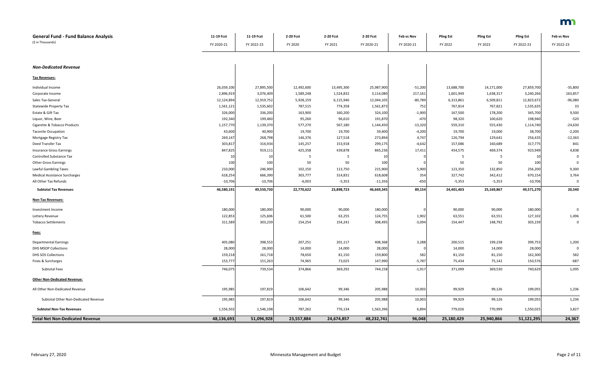| <b>General Fund - Fund Balance Analysis</b> | 11-19 Fcst | 11-19 Fcst | 2-20 Fcst  | 2-20 Fcst  | 2-20 Fcst  | Feb vs Nov | <b>Pling Est</b> | <b>Pling Est</b> | <b>Pling Est</b> | Feb vs Nov  |
|---------------------------------------------|------------|------------|------------|------------|------------|------------|------------------|------------------|------------------|-------------|
| (\$ in Thousands)                           | FY 2020-21 | FY 2022-23 | FY 2020    | FY 2021    | FY 2020-21 | FY 2020-21 | FY 2022          | FY 2023          | FY 2022-23       | FY 2022-23  |
|                                             |            |            |            |            |            |            |                  |                  |                  |             |
| <b>Non-Dedicated Revenue</b>                |            |            |            |            |            |            |                  |                  |                  |             |
| <b>Tax Revenues:</b>                        |            |            |            |            |            |            |                  |                  |                  |             |
| Individual Income                           | 26,039,100 | 27,895,500 | 12,492,600 | 13,495,300 | 25,987,900 | $-51,200$  | 13,688,700       | 14,171,000       | 27,859,700       | $-35,800$   |
| Corporate Income                            | 2,896,919  | 3,076,409  | 1,589,248  | 1,524,832  | 3,114,080  | 217,161    | 1,601,949        | 1,638,317        | 3,240,266        | 163,857     |
| Sales Tax-General                           | 12,124,894 | 12,919,752 | 5,928,159  | 6,115,946  | 12,044,105 | $-80,789$  | 6,313,861        | 6,509,811        | 12,823,672       | $-96,080$   |
| <b>Statewide Property Tax</b>               | 1,561,121  | 1,535,602  | 787,515    | 774,358    | 1,561,873  | 752        | 767,814          | 767,821          | 1,535,635        | 33          |
| Estate & Gift Tax                           | 326,000    | 336,200    | 163,900    | 160,200    | 324,100    | $-1,900$   | 167,500          | 178,200          | 345,700          | 9,500       |
| Liquor, Wine, Beer                          | 192,340    | 199,460    | 95,260     | 96,610     | 191,870    | $-470$     | 98,320           | 100,620          | 198,940          | $-520$      |
| Cigarette & Tobacco Products                | 1,157,770  | 1,139,370  | 577,270    | 567,180    | 1,144,450  | $-13,320$  | 559,310          | 555,430          | 1,114,740        | $-24,630$   |
| <b>Taconite Occupation</b>                  | 43,600     | 40,900     | 19,700     | 19,700     | 39,400     | $-4,200$   | 19,700           | 19,000           | 38,700           | $-2,200$    |
| Mortgage Registry Tax                       | 269,147    | 268,798    | 146,376    | 127,518    | 273,894    | 4,747      | 126,794          | 129,641          | 256,435          | $-12,363$   |
| Deed Transfer Tax                           | 303,817    | 316,934    | 145,257    | 153,918    | 299,175    | $-4,642$   | 157,086          | 160,689          | 317,775          | 841         |
| <b>Insurance Gross Earnings</b>             | 847,825    | 919,111    | 425,358    | 439,878    | 865,236    | 17,411     | 454,575          | 469,374          | 923,949          | 4,838       |
| Controlled Substance Tax                    | 1(         | 10         | 5          | 5          | 10         |            | - 5              | -5               | 10               |             |
| <b>Other Gross Earnings</b>                 | 100        | 100        | 50         | 50         | 100        |            | 50               | 50               | 100              | $\mathbf 0$ |
| Lawful Gambling Taxes                       | 210,000    | 246,900    | 102,150    | 113,750    | 215,900    | 5,900      | 123,350          | 132,850          | 256,200          | 9,300       |
| Medical Assistance Surcharges               | 618,254    | 666,390    | 303,777    | 314,831    | 618,608    | 354        | 327,742          | 342,412          | 670,154          | 3,764       |
| All Other Tax Refunds                       | $-10,706$  | $-10,706$  | $-6,003$   | $-5,353$   | $-11,356$  | $-650$     | $-5,353$         | $-5,353$         | $-10,706$        | $\mathsf 0$ |
| <b>Subtotal Tax Revenues</b>                | 46,580,191 | 49,550,730 | 22,770,622 | 23,898,723 | 46,669,345 | 89,154     | 24,401,403       | 25,169,867       | 49,571,270       | 20,540      |
| <b>Non-Tax Revenues:</b>                    |            |            |            |            |            |            |                  |                  |                  |             |
| Investment Income                           | 180,000    | 180,000    | 90,000     | 90,000     | 180,000    |            | 90,000           | 90,000           | 180,000          | $\Omega$    |
| Lottery Revenue                             | 122,853    | 125,606    | 61,500     | 63,255     | 124,755    | 1,902      | 63,551           | 63,551           | 127,102          | 1,496       |
| <b>Tobacco Settlements</b>                  | 311,589    | 303,239    | 154,254    | 154,241    | 308,495    | $-3,094$   | 154,447          | 148,792          | 303,239          | $\mathbf 0$ |
| Fees:                                       |            |            |            |            |            |            |                  |                  |                  |             |
| <b>Departmental Earnings</b>                | 405,080    | 398,553    | 207,251    | 201,117    | 408,368    | 3,288      | 200,515          | 199,238          | 399,753          | 1,200       |
| DHS MSOP Collections                        | 28,000     | 28,000     | 14,000     | 14,000     | 28,000     |            | 14,000           | 14,000           | 28,000           | $\mathbf 0$ |
| <b>DHS SOS Collections</b>                  | 159,218    | 161,718    | 78,650     | 81,150     | 159,800    | 582        | 81,150           | 81,150           | 162,300          | 582         |
| Fines & Surcharges                          | 153,777    | 151,263    | 74,965     | 73,025     | 147,990    | $-5,787$   | 75,434           | 75,142           | 150,576          | $-687$      |
| Subtotal Fees                               | 746,075    | 739,534    | 374,866    | 369,292    | 744,158    | $-1,917$   | 371,099          | 369,530          | 740,629          | 1,095       |
| <b>Other Non-Dedicated Revenue:</b>         |            |            |            |            |            |            |                  |                  |                  |             |
| All Other Non-Dedicated Revenue             | 195,985    | 197,819    | 106,642    | 99,346     | 205,988    | 10,003     | 99,929           | 99,126           | 199,055          | 1,236       |
| Subtotal Other Non-Dedicated Revenue        | 195,985    | 197,819    | 106,642    | 99,346     | 205,988    | 10,003     | 99,929           | 99,126           | 199,055          | 1,236       |
| <b>Subtotal Non-Tax Revenues</b>            | 1,556,502  | 1,546,198  | 787,262    | 776,134    | 1,563,396  | 6,894      | 779,026          | 770,999          | 1,550,025        | 3,827       |
| <b>Total Net Non-Dedicated Revenue</b>      | 48,136,693 | 51,096,928 | 23,557,884 | 24,674,857 | 48,232,741 | 96,048     | 25,180,429       | 25,940,866       | 51,121,295       | 24,367      |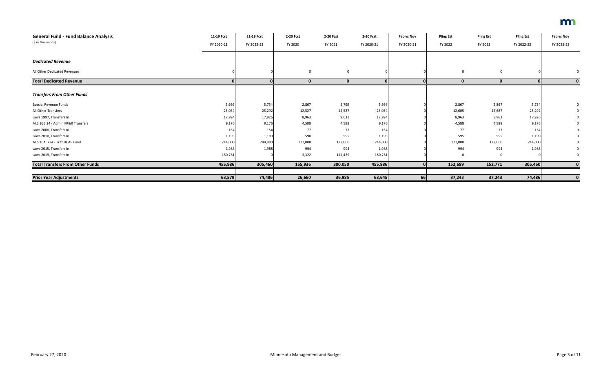| <b>General Fund - Fund Balance Analysis</b> | 11-19 Fcst | 11-19 Fcst | 2-20 Fcst   | 2-20 Fcst      | 2-20 Fcst  | Feb vs Nov   | <b>Pling Est</b> | <b>Pling Est</b> | <b>Pling Est</b> | Feb vs Nov |
|---------------------------------------------|------------|------------|-------------|----------------|------------|--------------|------------------|------------------|------------------|------------|
| (\$ in Thousands)                           | FY 2020-21 | FY 2022-23 | FY 2020     | FY 2021        | FY 2020-21 | FY 2020-21   | FY 2022          | FY 2023          | FY 2022-23       | FY 2022-23 |
|                                             |            |            |             |                |            |              |                  |                  |                  |            |
| <b>Dedicated Revenue</b>                    |            |            |             |                |            |              |                  |                  |                  |            |
| All Other Dedicated Revenues                |            |            | $\mathbf 0$ | $\overline{0}$ |            |              | $\Omega$         | $\mathbf 0$      |                  |            |
| <b>Total Dedicated Revenue</b>              |            |            | $\Omega$    | $\mathbf 0$    |            | $\mathbf{0}$ | $\mathbf{0}$     | 0                | $\mathbf{0}$     |            |
| <b>Transfers From Other Funds</b>           |            |            |             |                |            |              |                  |                  |                  |            |
| Special Revenue Funds                       | 5,666      | 5,734      | 2,867       | 2,799          | 5,666      |              | 2,867            | 2,867            | 5,734            |            |
| All Other Transfers                         | 25,054     | 25,292     | 12,527      | 12,527         | 25,054     |              | 12,605           | 12,687           | 25,292           |            |
| Laws 1997, Transfers In                     | 17,994     | 17,926     | 8,963       | 9,031          | 17,994     |              | 8,963            | 8,963            | 17,926           |            |
| M.S 16B.24 - Admin FR&R Transfers           | 9,176      | 9,176      | 4,588       | 4,588          | 9,176      |              | 4,588            | 4,588            | 9,176            |            |
| Laws 2008, Transfers In                     | 154        | 154        | 77          | 77             | 154        |              | 77               | 77               | 154              |            |
| Laws 2010, Transfers In                     | 1,193      | 1,190      | 598         | 595            | 1,193      |              | 595              | 595              | 1,190            |            |
| M.S 16A. 724 - Tr fr HCAF Fund              | 244,000    | 244,000    | 122,000     | 122,000        | 244,000    |              | 122,000          | 122,000          | 244,000          |            |
| Laws 2015, Transfers In                     | 1,988      | 1,988      | 994         | 994            | 1,988      |              | 994              | 994              | 1,988            |            |
| Laws 2019, Transfers In                     | 150,761    |            | 3,322       | 147,439        | 150,761    |              |                  | 0                |                  |            |
| <b>Total Transfers From Other Funds</b>     | 455,986    | 305,460    | 155,936     | 300,050        | 455,986    |              | 152,689          | 152,771          | 305,460          |            |
|                                             |            |            |             |                |            |              |                  |                  |                  |            |
| <b>Prior Year Adjustments</b>               | 63,579     | 74,486     | 26,660      | 36,985         | 63,645     | 66           | 37,243           | 37,243           | 74,486           |            |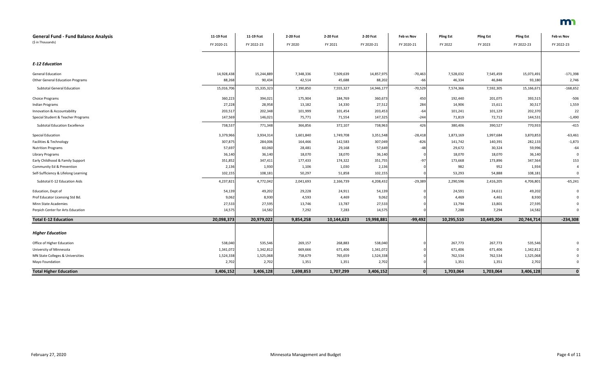| <b>General Fund - Fund Balance Analysis</b> | 11-19 Fcst | 11-19 Fcst | 2-20 Fcst | 2-20 Fcst  | 2-20 Fcst  | Feb vs Nov   | <b>Pling Est</b> | <b>Pling Est</b> | <b>Pling Est</b> | Feb vs Nov     |
|---------------------------------------------|------------|------------|-----------|------------|------------|--------------|------------------|------------------|------------------|----------------|
| (\$ in Thousands)                           | FY 2020-21 | FY 2022-23 | FY 2020   | FY 2021    | FY 2020-21 | FY 2020-21   | FY 2022          | FY 2023          | FY 2022-23       | FY 2022-23     |
|                                             |            |            |           |            |            |              |                  |                  |                  |                |
| <b>E-12 Education</b>                       |            |            |           |            |            |              |                  |                  |                  |                |
| <b>General Education</b>                    | 14,928,438 | 15,244,889 | 7,348,336 | 7,509,639  | 14,857,975 | $-70,463$    | 7,528,032        | 7,545,459        | 15,073,491       | $-171,398$     |
| <b>Other General Education Programs</b>     | 88,268     | 90,434     | 42,514    | 45,688     | 88,202     | $-66$        | 46,334           | 46,846           | 93,180           | 2,746          |
| Subtotal General Education                  | 15,016,706 | 15,335,323 | 7,390,850 | 7,555,327  | 14,946,177 | $-70,529$    | 7,574,366        | 7,592,305        | 15,166,671       | $-168,652$     |
| <b>Choice Programs</b>                      | 360,223    | 394,021    | 175,904   | 184,769    | 360,673    | 450          | 192,440          | 201,075          | 393,515          | $-506$         |
| Indian Programs                             | 27,228     | 28,958     | 13,182    | 14,330     | 27,512     | 284          | 14,906           | 15,611           | 30,517           | 1,559          |
| Innovation & Accountability                 | 203,517    | 202,348    | 101,999   | 101,454    | 203,453    | $-64$        | 101,241          | 101,129          | 202,370          | 22             |
| Special Student & Teacher Programs          | 147,569    | 146,021    | 75,771    | 71,554     | 147,325    | $-244$       | 71,819           | 72,712           | 144,531          | $-1,490$       |
| <b>Subtotal Education Excellence</b>        | 738,537    | 771,348    | 366,856   | 372,107    | 738,963    | 426          | 380,406          | 390,527          | 770,933          | $-415$         |
| Special Education                           | 3,379,966  | 3,934,314  | 1,601,840 | 1,749,708  | 3,351,548  | $-28,418$    | 1,873,169        | 1,997,684        | 3,870,853        | $-63,461$      |
| Facilities & Technology                     | 307,875    | 284,006    | 164,466   | 142,583    | 307,049    | $-826$       | 141,742          | 140,391          | 282,133          | $-1,873$       |
| <b>Nutrition Programs</b>                   | 57,697     | 60,060     | 28,481    | 29,168     | 57,649     | $-48$        | 29,672           | 30,324           | 59,996           | $-64$          |
| Library Programs                            | 36,140     | 36,140     | 18,070    | 18,070     | 36,140     |              | 18,070           | 18,070           | 36,140           | $\Omega$       |
| Early Childhood & Family Support            | 351,852    | 347,411    | 177,433   | 174,322    | 351,755    | $-97$        | 173,668          | 173,896          | 347,564          | 153            |
| Community Ed & Prevention                   | 2,136      | 1,930      | 1,106     | 1,030      | 2,136      |              | 982              | 952              | 1,934            | $\overline{4}$ |
| Self-Sufficiency & Lifelong Learning        | 102,155    | 108,181    | 50,297    | 51,858     | 102,155    |              | 53,293           | 54,888           | 108,181          | $\Omega$       |
| Subtotal E-12 Education Aids                | 4,237,821  | 4,772,042  | 2,041,693 | 2,166,739  | 4,208,432  | $-29,389$    | 2,290,596        | 2,416,205        | 4,706,801        | $-65,241$      |
| Education, Dept of                          | 54,139     | 49,202     | 29,228    | 24,911     | 54,139     |              | 24,591           | 24,611           | 49,202           |                |
| Prof Educator Licensing Std Bd.             | 9,062      | 8,930      | 4,593     | 4,469      | 9,062      |              | 4,469            | 4,461            | 8,930            |                |
| Minn State Academies                        | 27,533     | 27,595     | 13,746    | 13,787     | 27,533     |              | 13,794           | 13,801           | 27,595           |                |
| Perpich Center for Arts Education           | 14,575     | 14,582     | 7,292     | 7,283      | 14,575     | $\Omega$     | 7,288            | 7,294            | 14,582           |                |
| <b>Total E-12 Education</b>                 | 20,098,373 | 20,979,022 | 9,854,258 | 10,144,623 | 19,998,881 | $-99,492$    | 10,295,510       | 10,449,204       | 20,744,714       | $-234,308$     |
| <b>Higher Education</b>                     |            |            |           |            |            |              |                  |                  |                  |                |
| Office of Higher Education                  | 538,040    | 535,546    | 269,157   | 268,883    | 538,040    |              | 267,773          | 267,773          | 535,546          |                |
| University of Minnesota                     | 1,341,072  | 1,342,812  | 669,666   | 671,406    | 1,341,072  |              | 671,406          | 671,406          | 1,342,812        |                |
| MN State Colleges & Universities            | 1,524,338  | 1,525,068  | 758,679   | 765,659    | 1,524,338  |              | 762,534          | 762,534          | 1,525,068        |                |
| Mayo Foundation                             | 2,702      | 2,702      | 1,351     | 1,351      | 2,702      |              | 1,351            | 1,351            | 2,702            |                |
| <b>Total Higher Education</b>               | 3,406,152  | 3,406,128  | 1,698,853 | 1,707,299  | 3,406,152  | $\mathbf{0}$ | 1,703,064        | 1,703,064        | 3,406,128        | $\mathbf 0$    |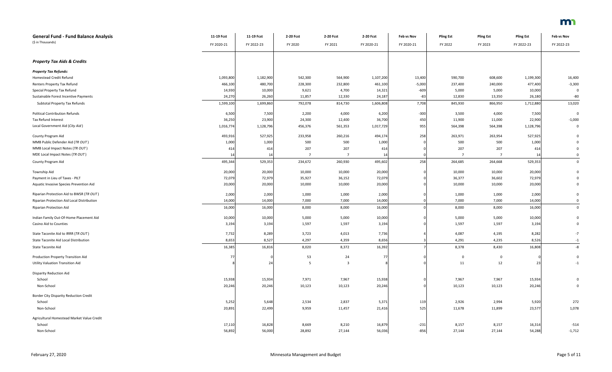| <b>General Fund - Fund Balance Analysis</b> | 11-19 Fcst | 11-19 Fcst | 2-20 Fcst      | 2-20 Fcst               | 2-20 Fcst  | Feb vs Nov | <b>Pling Est</b> | <b>Pling Est</b> | <b>Pling Est</b> | Feb vs Nov     |  |
|---------------------------------------------|------------|------------|----------------|-------------------------|------------|------------|------------------|------------------|------------------|----------------|--|
| (\$ in Thousands)                           | FY 2020-21 | FY 2022-23 | FY 2020        | FY 2021                 | FY 2020-21 | FY 2020-21 | FY 2022          | FY 2023          | FY 2022-23       | FY 2022-23     |  |
|                                             |            |            |                |                         |            |            |                  |                  |                  |                |  |
| <b>Property Tax Aids &amp; Credits</b>      |            |            |                |                         |            |            |                  |                  |                  |                |  |
| <b>Property Tax Refunds:</b>                |            |            |                |                         |            |            |                  |                  |                  |                |  |
| Homestead Credit Refund                     | 1,093,800  | 1,182,900  | 542,300        | 564,900                 | 1,107,200  | 13,400     | 590,700          | 608,600          | 1,199,300        | 16,400         |  |
| Renters Property Tax Refund                 | 466,100    | 480,700    | 228,300        | 232,800                 | 461,100    | $-5,000$   | 237,400          | 240,000          | 477,400          | $-3,300$       |  |
| Special Property Tax Refund                 | 14,930     | 10,000     | 9,621          | 4,700                   | 14,321     | $-609$     | 5,000            | 5,000            | 10,000           | $\Omega$       |  |
| Sustainable Forest Incentive Payments       | 24,270     | 26,260     | 11,857         | 12,330                  | 24,187     | $-83$      | 12,830           | 13,350           | 26,180           | $-80$          |  |
| Subtotal Property Tax Refunds               | 1,599,100  | 1,699,860  | 792,078        | 814,730                 | 1,606,808  | 7,708      | 845,930          | 866,950          | 1,712,880        | 13,020         |  |
| <b>Political Contribution Refunds</b>       | 6,500      | 7,500      | 2,200          | 4,000                   | 6,200      | $-300$     | 3,500            | 4,000            | 7,500            | $\Omega$       |  |
| Tax Refund Interest                         | 36,250     | 23,900     | 24,300         | 12,400                  | 36,700     | 450        | 11,900           | 11,000           | 22,900           | $-1,000$       |  |
| Local Government Aid (City Aid)             | 1,016,774  | 1,128,796  | 456,376        | 561,353                 | 1,017,729  | 955        | 564,398          | 564,398          | 1,128,796        | $\Omega$       |  |
| County Program Aid                          | 493,916    | 527,925    | 233,958        | 260,216                 | 494,174    | 258        | 263,971          | 263,954          | 527,925          | $\Omega$       |  |
| MMB Public Defender Aid (TR OUT)            | 1,000      | 1,000      | 500            | 500                     | 1,000      |            | 500              | 500              | 1,000            |                |  |
| MMB Local Impact Notes (TR OUT)             | 414        | 414        | 207            | 207                     | 414        |            | 207              | 207              | 414              |                |  |
| MDE Local Impact Notes (TR OUT)             | 14         | 14         | $\overline{7}$ | $\overline{7}$          | 14         |            | $\overline{7}$   |                  | 14               | $\mathbf 0$    |  |
| County Program Aid                          | 495,344    | 529,353    | 234,672        | 260,930                 | 495,602    | 258        | 264,685          | 264,668          | 529,353          | $\overline{0}$ |  |
| Township Aid                                | 20,000     | 20,000     | 10,000         | 10,000                  | 20,000     |            | 10,000           | 10,000           | 20,000           | $\Omega$       |  |
| Payment in Lieu of Taxes - PILT             | 72,079     | 72,979     | 35,927         | 36,152                  | 72,079     |            | 36,377           | 36,602           | 72,979           |                |  |
| Aquatic Invasive Species Prevention Aid     | 20,000     | 20,000     | 10,000         | 10,000                  | 20,000     |            | 10,000           | 10,000           | 20,000           |                |  |
| Riparian Protection Aid to BWSR (TR OUT)    | 2,000      | 2,000      | 1,000          | 1,000                   | 2,000      |            | 1,000            | 1,000            | 2,000            | $\mathbf 0$    |  |
| Riparian Protection Aid Local Distribution  | 14,000     | 14,000     | 7,000          | 7,000                   | 14,000     |            | 7,000            | 7,000            | 14,000           | $\mathbf{0}$   |  |
| <b>Riparian Protection Aid</b>              | 16,000     | 16,000     | 8,000          | 8,000                   | 16,000     |            | 8,000            | 8,000            | 16,000           | $\overline{0}$ |  |
| Indian Family Out-Of-Home Placement Aid     | 10,000     | 10,000     | 5,000          | 5,000                   | 10,000     |            | 5,000            | 5,000            | 10,000           | $\Omega$       |  |
| Casino Aid to Counties                      | 3,194      | 3,194      | 1,597          | 1,597                   | 3,194      |            | 1,597            | 1,597            | 3,194            | $\mathbf 0$    |  |
| State Taconite Aid to IRRR (TR OUT)         | 7,732      | 8,289      | 3,723          | 4,013                   | 7,736      |            | 4,087            | 4,195            | 8,282            | $-7$           |  |
| State Taconite Aid Local Distribution       | 8,653      | 8,527      | 4,297          | 4,359                   | 8,656      |            | 4,291            | 4,235            | 8,526            | $-1$           |  |
| State Taconite Aid                          | 16,385     | 16,816     | 8,020          | 8,372                   | 16,392     |            | 8,378            | 8,430            | 16,808           | -8             |  |
| Production Property Transition Aid          | 77         |            | 53             | 24                      | 77         |            | $\mathbf 0$      | $\mathbf 0$      |                  | $\mathbf 0$    |  |
| Utility Valuation Transition Aid            |            | 24         | 5              | $\overline{\mathbf{3}}$ |            |            | 11               | 12               | 23               | $-1$           |  |
| <b>Disparity Reduction Aid</b>              |            |            |                |                         |            |            |                  |                  |                  |                |  |
| School                                      | 15,938     | 15,934     | 7,971          | 7,967                   | 15,938     |            | 7,967            | 7,967            | 15,934           | 0              |  |
| Non-School                                  | 20,246     | 20,246     | 10,123         | 10,123                  | 20,246     |            | 10,123           | 10,123           | 20,246           |                |  |
| Border City Disparity Reduction Credit      |            |            |                |                         |            |            |                  |                  |                  |                |  |
| School                                      | 5,252      | 5,648      | 2,534          | 2,837                   | 5,371      | 119        | 2,926            | 2,994            | 5,920            | 272            |  |
| Non-School                                  | 20,891     | 22,499     | 9,959          | 11,457                  | 21,416     | 525        | 11,678           | 11,899           | 23,577           | 1,078          |  |
| Agricultural Homestead Market Value Credit  |            |            |                |                         |            |            |                  |                  |                  |                |  |
| School                                      | 17,110     | 16,828     | 8,669          | 8,210                   | 16,879     | $-231$     | 8,157            | 8,157            | 16,314           | $-514$         |  |
| Non-School                                  | 56,892     | 56,000     | 28,892         | 27,144                  | 56,036     | $-856$     | 27,144           | 27,144           | 54,288           | $-1,712$       |  |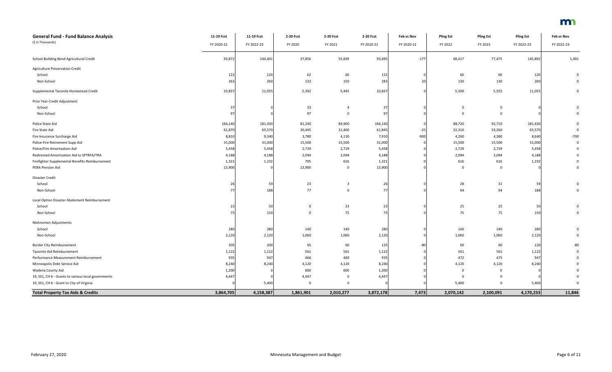| <b>General Fund - Fund Balance Analysis</b>         | 11-19 Fcst | 11-19 Fcst | 2-20 Fcst   | 2-20 Fcst               | 2-20 Fcst  | Feb vs Nov     | <b>Pling Est</b> | <b>Pling Est</b> | <b>Pling Est</b> | Feb vs Nov     |
|-----------------------------------------------------|------------|------------|-------------|-------------------------|------------|----------------|------------------|------------------|------------------|----------------|
| (\$ in Thousands)                                   | FY 2020-21 | FY 2022-23 | FY 2020     | FY 2021                 | FY 2020-21 | FY 2020-21     | FY 2022          | FY 2023          | FY 2022-23       | FY 2022-23     |
| School Building Bond Agricultural Credit            | 93,872     | 144,401    | 37,856      | 55,839                  | 93,695     | $-177$         | 68,417           | 77,475           | 145,892          | 1,491          |
| Agriculture Preservation Credit                     |            |            |             |                         |            |                |                  |                  |                  |                |
| School                                              | 122        | 120        | 62          | 60                      | 122        |                | 60               | 60               | 120              | 0              |
| Non-School                                          | 263        | 260        | 133         | 150                     | 283        | 2 <sup>c</sup> | 130              | 130              | 260              | $\Omega$       |
| Supplemental Taconite Homestead Credit              | 10,837     | 11,055     | 5,392       | 5,445                   | 10,837     |                | 5,500            | 5,555            | 11,055           | $\overline{0}$ |
| Prior Year Credit Adjustment                        |            |            |             |                         |            |                |                  |                  |                  |                |
| School                                              | 37         | $\Omega$   | 33          | $\overline{4}$          | 37         |                | $\mathbf 0$      | $\Omega$         |                  | $\overline{0}$ |
| Non-School                                          | 97         | $\Omega$   | 97          | $\mathbf 0$             | 97         |                | $\overline{0}$   | $\Omega$         |                  | $\Omega$       |
| Police State Aid                                    | 166,140    | 181,430    | 81,240      | 84,900                  | 166,140    |                | 88,720           | 92,710           | 181,430          | 0              |
| Fire State Aid                                      | 61,870     | 65,570     | 30,445      | 31,400                  | 61,845     | $-25$          | 32,310           | 33,260           | 65,570           | $\Omega$       |
| Fire Insurance Surcharge Aid                        | 8,810      | 9,340      | 3,780       | 4,130                   | 7,910      | $-900$         | 4,260            | 4,380            | 8,640            | $-700$         |
| Police-Fire Retirement Supp Aid                     | 31,000     | 31,000     | 15,500      | 15,500                  | 31,000     |                | 15,500           | 15,500           | 31,000           | $\overline{0}$ |
| Police/Fire Amortization Aid                        | 5,458      | 5,458      | 2,729       | 2,729                   | 5,458      |                | 2,729            | 2,729            | 5,458            | $\mathbf 0$    |
| Redirected Amortization Aid to SPTRFA/TRA           | 4,188      | 4,188      | 2,094       | 2,094                   | 4,188      |                | 2,094            | 2,094            | 4,188            | -0             |
| Firefighter Supplemental Benefits Reimbursement     | 1,321      | 1,232      | 705         | 616                     | 1,321      |                | 616              | 616              | 1,232            | $\mathbf 0$    |
| PERA Pension Aid                                    | 13,900     | $\Omega$   | 13,900      | $\mathbf 0$             | 13,900     |                | $\overline{0}$   | $\Omega$         |                  | $\overline{0}$ |
| Disaster Credit                                     |            |            |             |                         |            |                |                  |                  |                  |                |
| School                                              | 26         | 59         | 23          | $\overline{\mathbf{3}}$ | 26         |                | 28               | 31               | 59               | $\mathbf 0$    |
| Non-School                                          | 77         | 188        | 77          | $\mathbf{0}$            | 77         |                | 94               | 94               | 188              | $\overline{0}$ |
| Local Option Disaster Abatement Reimbursement       |            |            |             |                         |            |                |                  |                  |                  |                |
| School                                              | 23         | 50         | $\mathbf 0$ | 23                      | 23         |                | 25               | 25               | 50               | $\overline{0}$ |
| Non-School                                          | 75         | 150        | $\mathbf 0$ | 75                      | 75         |                | 75               | 75               | 150              | $\Omega$       |
| Mahnomen Adjustments                                |            |            |             |                         |            |                |                  |                  |                  |                |
| School                                              | 280        | 280        | 140         | 140                     | 280        |                | 140              | 140              | 280              | $\overline{0}$ |
| Non-School                                          | 2,120      | 2,120      | 1,060       | 1,060                   | 2,120      |                | 1,060            | 1,060            | 2,120            | O              |
| <b>Border City Reimbursement</b>                    | 205        | 200        | 65          | 60                      | 125        | $-80$          | 60               | 60               | 120              | -80            |
| Taconite Aid Reimbursement                          | 1,122      | 1,122      | 561         | 561                     | 1,122      |                | 561              | 561              | 1,122            | $\Omega$       |
| Performance Measurement Reimbursement               | 935        | 947        | 466         | 469                     | 935        |                | 472              | 475              | 947              | -0             |
| Minneapolis Debt Service Aid                        | 8,240      | 8,240      | 4,120       | 4,120                   | 8,240      |                | 4,120            | 4,120            | 8,240            |                |
| Wadena County Aid                                   | 1,200      |            | 600         | 600                     | 1,200      |                | $\mathbf{0}$     | $\Omega$         |                  |                |
| 19, SS1, CH 6 - Grants to various local governments | 4,447      |            | 4,447       | $\mathbf 0$             | 4,447      |                | $\mathbf 0$      | $\Omega$         |                  | $\sqrt{ }$     |
| 19, SS1, CH 6 - Grant to City of Virginia           |            | 5,400      | $\Omega$    | $\mathbf 0$             |            |                | 5,400            | $\Omega$         | 5,400            | $\Omega$       |
| <b>Total Property Tax Aids &amp; Credits</b>        | 3,864,705  | 4,158,387  | 1,861,901   | 2,010,277               | 3,872,178  | 7,473          | 2,070,142        | 2,100,091        | 4,170,233        | 11,846         |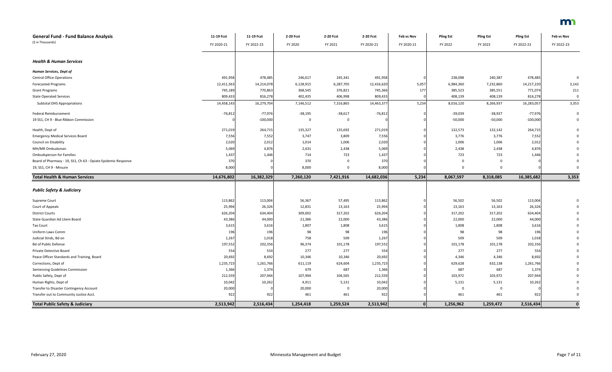| <b>General Fund - Fund Balance Analysis</b>                   | 11-19 Fcst | 11-19 Fcst | 2-20 Fcst | 2-20 Fcst   | 2-20 Fcst  | Feb vs Nov | <b>Pling Est</b> | <b>Pling Est</b> | <b>Pling Est</b> | Feb vs Nov |
|---------------------------------------------------------------|------------|------------|-----------|-------------|------------|------------|------------------|------------------|------------------|------------|
| (\$ in Thousands)                                             | FY 2020-21 | FY 2022-23 | FY 2020   | FY 2021     | FY 2020-21 | FY 2020-21 | FY 2022          | FY 2023          | FY 2022-23       | FY 2022-23 |
| <b>Health &amp; Human Services</b>                            |            |            |           |             |            |            |                  |                  |                  |            |
| Human Services, Dept of                                       |            |            |           |             |            |            |                  |                  |                  |            |
| <b>Central Office Operations</b>                              | 491,958    | 478,485    | 246,617   | 245,341     | 491,958    |            | 238,098          | 240,387          | 478,485          |            |
| <b>Forecasted Programs</b>                                    | 12,411,563 | 14,214,078 | 6,128,915 | 6,287,705   | 12,416,620 | 5,057      | 6,984,360        | 7,232,860        | 14,217,220       | 3,142      |
| <b>Grant Programs</b>                                         | 745,189    | 770,863    | 368,545   | 376,821     | 745,366    | 177        | 385,523          | 385,551          | 771,074          | 211        |
| <b>State Operated Services</b>                                | 809,433    | 816,278    | 402,435   | 406,998     | 809,433    |            | 408,139          | 408,139          | 816,278          |            |
| <b>Subtotal DHS Appropriations</b>                            | 14,458,143 | 16,279,704 | 7,146,512 | 7,316,865   | 14,463,377 | 5,234      | 8,016,120        | 8,266,937        | 16,283,057       | 3,353      |
| Federal Reimbursement                                         | $-76,812$  | $-77,976$  | $-38,195$ | $-38,617$   | $-76,812$  |            | $-39,039$        | $-38,937$        | -77,976          |            |
| 19 SS1, CH 9 - Blue Ribbon Commission                         |            | $-100,000$ | $\Omega$  | $\Omega$    |            |            | $-50,000$        | $-50,000$        | $-100,000$       |            |
| Health, Dept of                                               | 271,019    | 264,715    | 135,327   | 135,692     | 271,019    |            | 132,573          | 132,142          | 264,715          |            |
| <b>Emergency Medical Services Board</b>                       | 7,556      | 7,552      | 3,747     | 3,809       | 7,556      |            | 3,776            | 3,776            | 7,552            |            |
| Council on Disability                                         | 2,020      | 2,012      | 1,014     | 1,006       | 2,020      |            | 1,006            | 1,006            | 2,012            |            |
| MH/MR Ombudsman                                               | 5,069      | 4,876      | 2,631     | 2,438       | 5,069      |            | 2,438            | 2,438            | 4,876            |            |
| Ombudsperson for Families                                     | 1,437      | 1,446      | 714       | 723         | 1,437      |            | 723              | 723              | 1,446            |            |
| Board of Pharmacy - 19, SS1, Ch 63 - Opiate Epidemic Response | 370        |            | 370       | $\Omega$    | 370        |            | $\mathbf 0$      | $\overline{0}$   |                  |            |
| 19, SS1, CH 9 - Mnsure                                        | 8,000      |            | 8,000     | $\Omega$    | 8,000      |            | 0                | $\mathbf 0$      |                  |            |
| <b>Total Health &amp; Human Services</b>                      | 14,676,802 | 16,382,329 | 7,260,120 | 7,421,916   | 14,682,036 | 5,234      | 8,067,597        | 8,318,085        | 16,385,682       | 3,353      |
|                                                               |            |            |           |             |            |            |                  |                  |                  |            |
| <b>Public Safety &amp; Judiciary</b>                          |            |            |           |             |            |            |                  |                  |                  |            |
| Supreme Court                                                 | 113,862    | 113,004    | 56,367    | 57,495      | 113,862    |            | 56,502           | 56,502           | 113,004          |            |
| Court of Appeals                                              | 25,994     | 26,326     | 12,831    | 13,163      | 25,994     |            | 13,163           | 13,163           | 26,326           |            |
| <b>District Courts</b>                                        | 626,204    | 634,404    | 309,002   | 317,202     | 626,204    |            | 317,202          | 317,202          | 634,404          |            |
| State Guardian Ad Litem Board                                 | 43,386     | 44,000     | 21,386    | 22,000      | 43,386     |            | 22,000           | 22,000           | 44,000           |            |
| Tax Court                                                     | 3,615      | 3,616      | 1,807     | 1,808       | 3,615      |            | 1,808            | 1,808            | 3,616            |            |
| Uniform Laws Comm                                             | 196        | 196        | 98        | 98          | 196        |            | 98               | 98               | 196              |            |
| Judicial Stnds, Bd on                                         | 1,267      | 1,018      | 758       | 509         | 1,267      |            | 509              | 509              | 1,018            |            |
| <b>Bd of Public Defense</b>                                   | 197,552    | 202,356    | 96,374    | 101,178     | 197,552    |            | 101,178          | 101,178          | 202,356          |            |
| Private Detective Board                                       | 554        | 554        | 277       | 277         | 554        |            | 277              | 277              | 554              |            |
| Peace Officer Standards and Training, Board                   | 20,692     | 8,692      | 10,346    | 10,346      | 20,692     |            | 4,346            | 4,346            | 8,692            |            |
| Corrections, Dept of                                          | 1,235,723  | 1,261,766  | 611,119   | 624,604     | 1,235,723  |            | 629,628          | 632,138          | 1,261,766        |            |
| Sentencing Guidelines Commission                              | 1,366      | 1,374      | 679       | 687         | 1,366      |            | 687              | 687              | 1,374            |            |
| Public Safety, Dept of                                        | 212,559    | 207,944    | 107,994   | 104,565     | 212,559    |            | 103,972          | 103,972          | 207,944          |            |
| Human Rights, Dept of                                         | 10,042     | 10,262     | 4,911     | 5,131       | 10,042     |            | 5,131            | 5,131            | 10,262           |            |
| Transfer to Disaster Contingency Account                      | 20,000     |            | 20,000    | $\mathbf 0$ | 20,000     |            | 0                | 0                |                  |            |
| Transfer out to Community Justice Acct.                       | 922        | 922        | 461       | 461         | 922        |            | 461              | 461              | 922              |            |
| <b>Total Public Safety &amp; Judiciary</b>                    | 2,513,942  | 2,516,434  | 1,254,418 | 1,259,524   | 2,513,942  | $\Omega$   | 1,256,962        | 1,259,472        | 2,516,434        |            |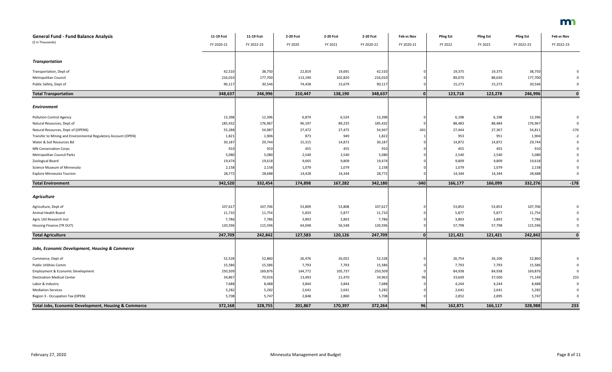| <b>General Fund - Fund Balance Analysis</b>                    | 11-19 Fcst | 11-19 Fcst | 2-20 Fcst | 2-20 Fcst | 2-20 Fcst  | Feb vs Nov   | <b>Pling Est</b> | <b>Pling Est</b> | <b>Pling Est</b> | Feb vs Nov |
|----------------------------------------------------------------|------------|------------|-----------|-----------|------------|--------------|------------------|------------------|------------------|------------|
| (\$ in Thousands)                                              | FY 2020-21 | FY 2022-23 | FY 2020   | FY 2021   | FY 2020-21 | FY 2020-21   | FY 2022          | FY 2023          | FY 2022-23       | FY 2022-23 |
|                                                                |            |            |           |           |            |              |                  |                  |                  |            |
| <b>Transportation</b>                                          |            |            |           |           |            |              |                  |                  |                  |            |
| Transportation, Dept of                                        | 42,510     | 38,750     | 22,819    | 19,691    | 42,510     |              | 19,375           | 19,375           | 38,750           |            |
| Metropolitan Council                                           | 216,010    | 177,700    | 113,190   | 102,820   | 216,010    |              | 89,070           | 88,630           | 177,700          |            |
| Public Safety, Dept of                                         | 90,117     | 30,546     | 74,438    | 15,679    | 90,117     |              | 15,273           | 15,273           | 30,546           |            |
| <b>Total Transportation</b>                                    | 348,637    | 246,996    | 210,447   | 138,190   | 348,637    | $\mathbf{0}$ | 123,718          | 123,278          | 246,996          | $\Omega$   |
|                                                                |            |            |           |           |            |              |                  |                  |                  |            |
| <b>Environment</b>                                             |            |            |           |           |            |              |                  |                  |                  |            |
| <b>Pollution Control Agency</b>                                | 13,398     | 12,396     | 6,874     | 6,524     | 13,398     |              | 6,198            | 6,198            | 12,396           |            |
| Natural Resources, Dept of                                     | 185,432    | 176,967    | 96,197    | 89,235    | 185,432    |              | 88,483           | 88,484           | 176,967          |            |
| Natural Resources, Dept of (OPENS)                             | 55,288     | 54,987     | 27,472    | 27,475    | 54,947     | $-341$       | 27,444           | 27,367           | 54,811           | $-176$     |
| Transfer to Mining and Environmental Regulatory Account (OPEN) | 1,821      | 1,906      | 873       | 949       | 1,822      |              | 953              | 951              | 1,904            |            |
| Water & Soil Resources Bd                                      | 30,187     | 29,744     | 15,315    | 14,872    | 30,187     |              | 14,872           | 14,872           | 29,744           |            |
| MN Conservation Corps                                          | 910        | 910        | 455       | 455       | 910        |              | 455              | 455              | 910              |            |
| Metropolitan Council Parks                                     | 5,080      | 5,080      | 2,540     | 2,540     | 5,080      |              | 2,540            | 2,540            | 5,080            |            |
| Zoological Board                                               | 19,474     | 19,618     | 9,665     | 9,809     | 19,474     |              | 9,809            | 9,809            | 19,618           |            |
| Science Museum of Minnesota                                    | 2,158      | 2,158      | 1,079     | 1,079     | 2,158      |              | 1,079            | 1,079            | 2,158            |            |
| Explore Minnesota Tourism                                      | 28,772     | 28,688     | 14,428    | 14,344    | 28,772     |              | 14,344           | 14,344           | 28,688           |            |
| <b>Total Environment</b>                                       | 342,520    | 332,454    | 174,898   | 167,282   | 342,180    | $-340$       | 166,177          | 166,099          | 332,276          | $-178$     |
|                                                                |            |            |           |           |            |              |                  |                  |                  |            |
| <b>Agriculture</b>                                             |            |            |           |           |            |              |                  |                  |                  |            |
| Agriculture, Dept of                                           | 107,617    | 107,706    | 53,809    | 53,808    | 107,617    |              | 53,853           | 53,853           | 107,706          |            |
| Animal Health Board                                            | 11,710     | 11,754     | 5,833     | 5,877     | 11,710     |              | 5,877            | 5,877            | 11,754           |            |
| Agric Util Research Inst                                       | 7,786      | 7,786      | 3,893     | 3,893     | 7,786      |              | 3,893            | 3,893            | 7,786            |            |
| Housing Finance (TR OUT)                                       | 120,596    | 115,596    | 64,048    | 56,548    | 120,596    |              | 57,798           | 57,798           | 115,596          |            |
| <b>Total Agriculture</b>                                       | 247,709    | 242,842    | 127,583   | 120,126   | 247,709    | $\mathbf{0}$ | 121,421          | 121,421          | 242,842          | $\Omega$   |
|                                                                |            |            |           |           |            |              |                  |                  |                  |            |
| Jobs, Economic Development, Housing & Commerce                 |            |            |           |           |            |              |                  |                  |                  |            |
| Commerce, Dept of                                              | 52,528     | 52,860     | 26,476    | 26,052    | 52,528     |              | 26,754           | 26,106           | 52,860           |            |
| <b>Public Utilities Comm</b>                                   | 15,586     | 15,586     | 7,793     | 7,793     | 15,586     |              | 7,793            | 7,793            | 15,586           |            |
| Employment & Economic Development                              | 250,509    | 169,876    | 144,772   | 105,737   | 250,509    |              | 84,938           | 84,938           | 169,876          |            |
| <b>Destination Medical Center</b>                              | 34,867     | 70,916     | 13,493    | 21,470    | 34,963     | 96           | 33,649           | 37,500           | 71,149           | 233        |
| Labor & Industry                                               | 7,688      | 8,488      | 3,844     | 3,844     | 7,688      |              | 4,244            | 4,244            | 8,488            |            |
| <b>Mediation Services</b>                                      | 5,282      | 5,282      | 2,641     | 2,641     | 5,282      |              | 2,641            | 2,641            | 5,282            |            |
| Region 3 - Occupation Tax (OPEN)                               | 5,708      | 5,747      | 2,848     | 2,860     | 5,708      |              | 2,852            | 2,895            | 5,747            |            |
| Total Jobs, Economic Development, Housing & Commerce           | 372,168    | 328,755    | 201,867   | 170,397   | 372,264    | 96           | 162,871          | 166,117          | 328,988          | 233        |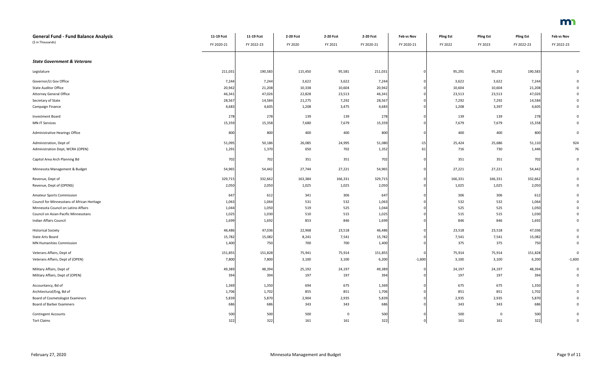| <b>General Fund - Fund Balance Analysis</b> | 11-19 Fcst | 11-19 Fcst | 2-20 Fcst | 2-20 Fcst   | 2-20 Fcst  | Feb vs Nov | <b>Pling Est</b> | <b>Pling Est</b> | <b>Pling Est</b> | Feb vs Nov     |
|---------------------------------------------|------------|------------|-----------|-------------|------------|------------|------------------|------------------|------------------|----------------|
| (\$ in Thousands)                           | FY 2020-21 | FY 2022-23 | FY 2020   | FY 2021     | FY 2020-21 | FY 2020-21 | FY 2022          | FY 2023          | FY 2022-23       | FY 2022-23     |
| <b>State Government &amp; Veterans</b>      |            |            |           |             |            |            |                  |                  |                  |                |
| Legislature                                 | 211,031    | 190,583    | 115,450   | 95,581      | 211,031    |            | 95,291           | 95,292           | 190,583          |                |
| Governor/Lt Gov Office                      | 7,244      | 7,244      | 3,622     | 3,622       | 7,244      |            | 3,622            | 3,622            | 7,244            |                |
| <b>State Auditor Office</b>                 | 20,942     | 21,208     | 10,338    | 10,604      | 20,942     |            | 10,604           | 10,604           | 21,208           |                |
| <b>Attorney General Office</b>              | 46,341     | 47,026     | 22,828    | 23,513      | 46,341     |            | 23,513           | 23,513           | 47,026           |                |
| Secretary of State                          | 28,567     | 14,584     | 21,275    | 7,292       | 28,567     |            | 7,292            | 7,292            | 14,584           |                |
| Campaign Finance                            | 4,683      | 4,605      | 1,208     | 3,475       | 4,683      |            | 1,208            | 3,397            | 4,605            |                |
| Investment Board                            | 278        | 278        | 139       | 139         | 278        |            | 139              | 139              | 278              |                |
| <b>MN-IT Services</b>                       | 15,359     | 15,358     | 7,680     | 7,679       | 15,359     |            | 7,679            | 7,679            | 15,358           |                |
| Administrative Hearings Office              | 800        | 800        | 400       | 400         | 800        |            | 400              | 400              | 800              | $\Omega$       |
| Administration, Dept of                     | 51,095     | 50,186     | 26,085    | 24,995      | 51,080     | $-15$      | 25,424           | 25,686           | 51,110           | 924            |
| Administration Dept, WCRA (OPEN)            | 1,291      | 1,370      | 650       | 702         | 1,352      | 61         | 716              | 730              | 1,446            | 76             |
| Capitol Area Arch Planning Bd               | 702        | 702        | 351       | 351         | 702        |            | 351              | 351              | 702              | $\mathbf 0$    |
| Minnesota Management & Budget               | 54,965     | 54,442     | 27,744    | 27,221      | 54,965     |            | 27,221           | 27,221           | 54,442           | $\Omega$       |
| Revenue, Dept of                            | 329,715    | 332,662    | 163,384   | 166,331     | 329,715    |            | 166,331          | 166,331          | 332,662          |                |
| Revenue, Dept of (OPENS)                    | 2,050      | 2,050      | 1,025     | 1,025       | 2,050      |            | 1,025            | 1,025            | 2,050            |                |
| Amateur Sports Commission                   | 647        | 612        | 341       | 306         | 647        |            | 306              | 306              | 612              |                |
| Council for Minnesotans of African Heritage | 1,063      | 1,064      | 531       | 532         | 1,063      |            | 532              | 532              | 1,064            |                |
| Minnesota Council on Latino Affairs         | 1,044      | 1,050      | 519       | 525         | 1,044      |            | 525              | 525              | 1,050            |                |
| Council on Asian-Pacific Minnesotans        | 1,025      | 1,030      | 510       | 515         | 1,025      |            | 515              | 515              | 1,030            |                |
| Indian Affairs Council                      | 1,699      | 1,692      | 853       | 846         | 1,699      |            | 846              | 846              | 1,692            |                |
| <b>Historical Society</b>                   | 46,486     | 47,036     | 22,968    | 23,518      | 46,486     |            | 23,518           | 23,518           | 47,036           |                |
| State Arts Board                            | 15,782     | 15,082     | 8,241     | 7,541       | 15,782     |            | 7,541            | 7,541            | 15,082           |                |
| MN Humanities Commission                    | 1,400      | 750        | 700       | 700         | 1,400      |            | 375              | 375              | 750              |                |
| Veterans Affairs, Dept of                   | 151,855    | 151,828    | 75,941    | 75,914      | 151,855    |            | 75,914           | 75,914           | 151,828          | $\Omega$       |
| Veterans Affairs, Dept of (OPEN)            | 7,800      | 7,800      | 3,100     | 3,100       | 6,200      | $-1,600$   | 3,100            | 3,100            | 6,200            | $-1,600$       |
| Military Affairs, Dept of                   | 49,389     | 48,394     | 25,192    | 24,197      | 49,389     |            | 24,197           | 24,197           | 48,394           | $\overline{0}$ |
| Military Affairs, Dept of (OPEN)            | 394        | 394        | 197       | 197         | 394        |            | 197              | 197              | 394              | $\Omega$       |
| Accountancy, Bd of                          | 1,369      | 1,350      | 694       | 675         | 1,369      |            | 675              | 675              | 1,350            |                |
| Architectural/Eng, Bd of                    | 1,706      | 1,702      | 855       | 851         | 1,706      |            | 851              | 851              | 1,702            |                |
| Board of Cosmetologist Examiners            | 5,839      | 5,870      | 2,904     | 2,935       | 5,839      |            | 2,935            | 2,935            | 5,870            |                |
| <b>Board of Barber Examiners</b>            | 686        | 686        | 343       | 343         | 686        |            | 343              | 343              | 686              |                |
| <b>Contingent Accounts</b>                  | 500        | 500        | 500       | $\mathbf 0$ | 500        |            | 500              | 0                | 500              |                |
| <b>Tort Claims</b>                          | 322        | 322        | 161       | 161         | 322        |            | 161              | 161              | 322              | $\Omega$       |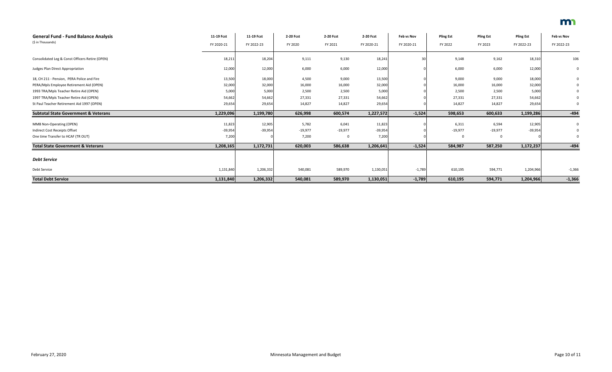| <b>General Fund - Fund Balance Analysis</b>     | 11-19 Fcst | 11-19 Fcst | 2-20 Fcst | 2-20 Fcst | 2-20 Fcst  | Feb vs Nov | <b>Pling Est</b> | <b>Pling Est</b> | <b>Pling Est</b> | Feb vs Nov   |
|-------------------------------------------------|------------|------------|-----------|-----------|------------|------------|------------------|------------------|------------------|--------------|
| (\$ in Thousands)                               | FY 2020-21 | FY 2022-23 | FY 2020   | FY 2021   | FY 2020-21 | FY 2020-21 | FY 2022          | FY 2023          | FY 2022-23       | FY 2022-23   |
|                                                 |            |            |           |           |            |            |                  |                  |                  |              |
| Consolidated Leg & Const Officers Retire (OPEN) | 18,211     | 18,204     | 9,111     | 9,130     | 18,241     |            | 9,148            | 9,162            | 18,310           | 106          |
| Judges Plan Direct Appropriation                | 12,000     | 12,000     | 6,000     | 6,000     | 12,000     |            | 6,000            | 6,000            | 12,000           | 0            |
| 18, CH 211 - Pension, PERA Police and Fire      | 13,500     | 18,000     | 4,500     | 9,000     | 13,500     |            | 9,000            | 9,000            | 18,000           | $\mathbf{0}$ |
| PERA/Mpls Employee Retirement Aid (OPEN)        | 32,000     | 32,000     | 16,000    | 16,000    | 32,000     |            | 16,000           | 16,000           | 32,000           | 0            |
| 1993 TRA/Mpls Teacher Retire Aid (OPEN)         | 5,000      | 5,000      | 2,500     | 2,500     | 5,000      |            | 2,500            | 2,500            | 5,000            | 0            |
| 1997 TRA/Mpls Teacher Retire Aid (OPEN)         | 54,662     | 54,662     | 27,331    | 27,331    | 54,662     |            | 27,331           | 27,331           | 54,662           | 0            |
| St Paul Teacher Retirement Aid 1997 (OPEN)      | 29,654     | 29,654     | 14,827    | 14,827    | 29,654     |            | 14,827           | 14,827           | 29,654           | $\mathbf 0$  |
| <b>Subtotal State Government &amp; Veterans</b> | 1,229,096  | 1,199,780  | 626,998   | 600,574   | 1,227,572  | $-1,524$   | 598,653          | 600,633          | 1,199,286        | $-494$       |
| MMB Non-Operating (OPEN)                        | 11,823     | 12,905     | 5,782     | 6,041     | 11,823     |            | 6,311            | 6,594            | 12,905           | 0            |
| Indirect Cost Receipts Offset                   | $-39,954$  | $-39,954$  | $-19,977$ | $-19,977$ | $-39,954$  |            | $-19,977$        | $-19,977$        | $-39,954$        |              |
| One time Transfer to HCAF (TR OUT)              | 7,200      |            | 7,200     | 0         | 7,200      |            | 0                |                  |                  | $\Omega$     |
| <b>Total State Government &amp; Veterans</b>    | 1,208,165  | 1,172,731  | 620,003   | 586,638   | 1,206,641  | $-1,524$   | 584,987          | 587,250          | 1,172,237        | -494         |
|                                                 |            |            |           |           |            |            |                  |                  |                  |              |
| <b>Debt Service</b>                             |            |            |           |           |            |            |                  |                  |                  |              |
|                                                 |            |            |           |           |            |            |                  |                  |                  |              |
| Debt Service                                    | 1,131,840  | 1,206,332  | 540,081   | 589,970   | 1,130,051  | $-1,789$   | 610,195          | 594,771          | 1,204,966        | $-1,366$     |